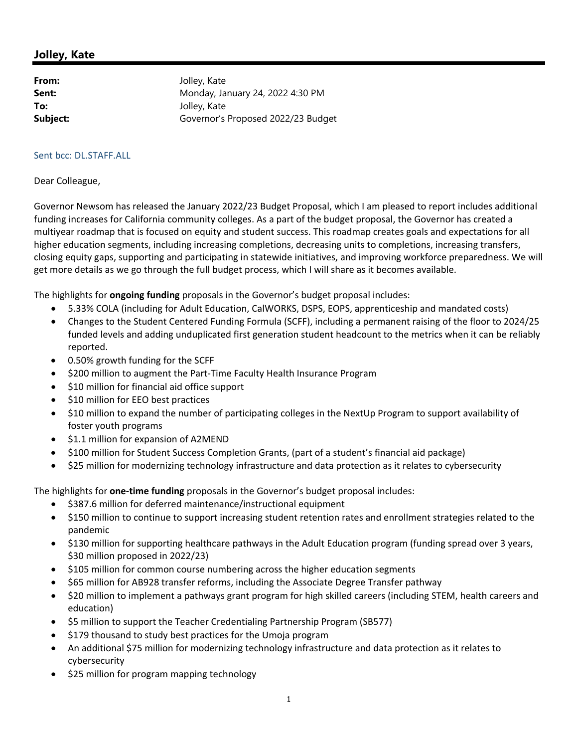## **Jolley, Kate**

| Jolley, Kate                       |
|------------------------------------|
| Monday, January 24, 2022 4:30 PM   |
| Jolley, Kate                       |
| Governor's Proposed 2022/23 Budget |
|                                    |

## Sent bcc: DL.STAFF.ALL

## Dear Colleague,

Governor Newsom has released the January 2022/23 Budget Proposal, which I am pleased to report includes additional funding increases for California community colleges. As a part of the budget proposal, the Governor has created a multiyear roadmap that is focused on equity and student success. This roadmap creates goals and expectations for all higher education segments, including increasing completions, decreasing units to completions, increasing transfers, closing equity gaps, supporting and participating in statewide initiatives, and improving workforce preparedness. We will get more details as we go through the full budget process, which I will share as it becomes available.

The highlights for **ongoing funding** proposals in the Governor's budget proposal includes:

- 5.33% COLA (including for Adult Education, CalWORKS, DSPS, EOPS, apprenticeship and mandated costs)
- Changes to the Student Centered Funding Formula (SCFF), including a permanent raising of the floor to 2024/25 funded levels and adding unduplicated first generation student headcount to the metrics when it can be reliably reported.
- 0.50% growth funding for the SCFF
- \$200 million to augment the Part-Time Faculty Health Insurance Program
- $\bullet$  \$10 million for financial aid office support
- $\bullet$  \$10 million for EEO best practices
- \$10 million to expand the number of participating colleges in the NextUp Program to support availability of foster youth programs
- $\bullet$  \$1.1 million for expansion of A2MEND
- \$100 million for Student Success Completion Grants, (part of a student's financial aid package)
- \$25 million for modernizing technology infrastructure and data protection as it relates to cybersecurity

The highlights for **one‐time funding** proposals in the Governor's budget proposal includes:

- $\bullet$  \$387.6 million for deferred maintenance/instructional equipment
- \$150 million to continue to support increasing student retention rates and enrollment strategies related to the pandemic
- \$130 million for supporting healthcare pathways in the Adult Education program (funding spread over 3 years, \$30 million proposed in 2022/23)
- \$105 million for common course numbering across the higher education segments
- \$65 million for AB928 transfer reforms, including the Associate Degree Transfer pathway
- \$20 million to implement a pathways grant program for high skilled careers (including STEM, health careers and education)
- \$5 million to support the Teacher Credentialing Partnership Program (SB577)
- \$179 thousand to study best practices for the Umoja program
- An additional \$75 million for modernizing technology infrastructure and data protection as it relates to cybersecurity
- \$25 million for program mapping technology